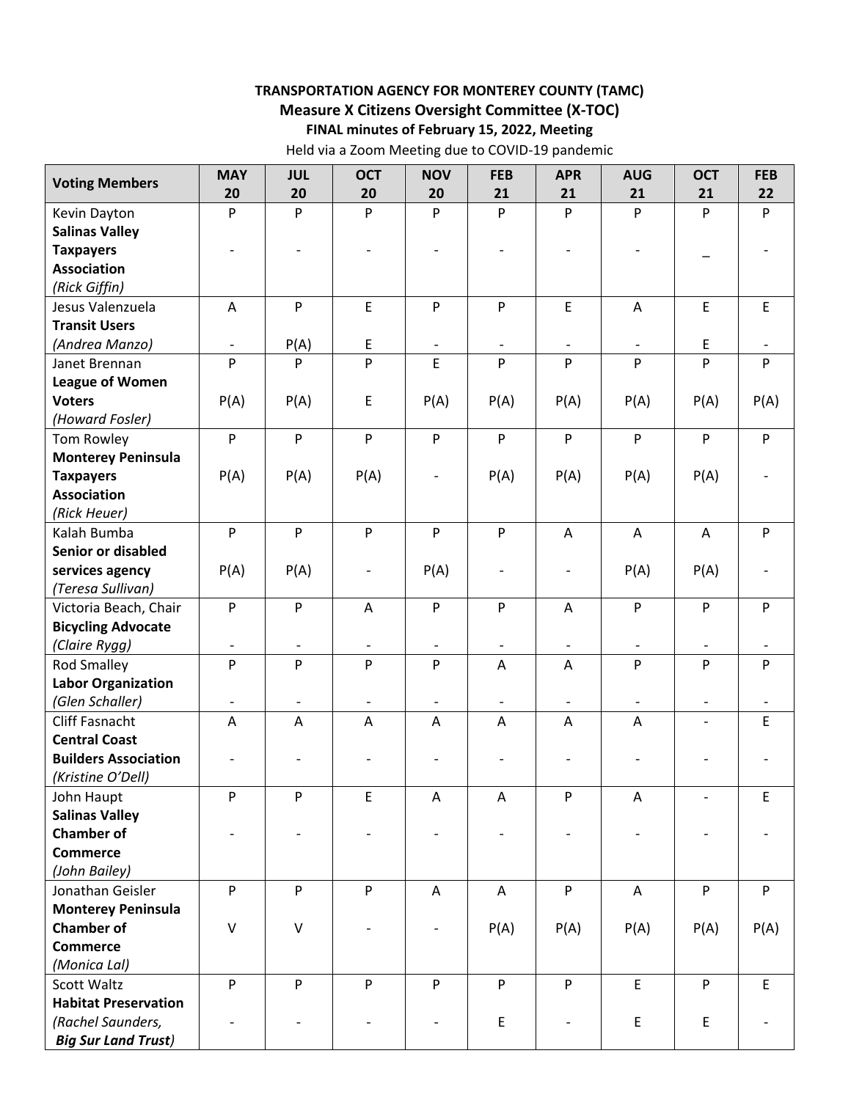## **TRANSPORTATION AGENCY FOR MONTEREY COUNTY (TAMC) Measure X Citizens Oversight Committee (X‐TOC) FINAL minutes of February 15, 2022, Meeting**

Held via a Zoom Meeting due to COVID‐19 pandemic

| <b>Voting Members</b>       | <b>MAY</b>                | <b>JUL</b>               | <b>OCT</b>                | <b>NOV</b>        | <b>FEB</b>                | <b>APR</b>               | <b>AUG</b>                | <b>OCT</b>               | <b>FEB</b>  |
|-----------------------------|---------------------------|--------------------------|---------------------------|-------------------|---------------------------|--------------------------|---------------------------|--------------------------|-------------|
|                             | 20                        | 20                       | 20                        | 20                | 21                        | 21                       | 21                        | 21                       | 22          |
| Kevin Dayton                | P                         | P                        | P                         | P                 | P                         | P                        | P                         | P                        | P           |
| <b>Salinas Valley</b>       |                           |                          |                           |                   |                           |                          |                           |                          |             |
| <b>Taxpayers</b>            |                           |                          |                           |                   |                           |                          |                           |                          |             |
| <b>Association</b>          |                           |                          |                           |                   |                           |                          |                           |                          |             |
| (Rick Giffin)               |                           |                          |                           |                   |                           |                          |                           |                          |             |
| Jesus Valenzuela            | A                         | P                        | $\mathsf E$               | P                 | ${\sf P}$                 | E                        | $\boldsymbol{\mathsf{A}}$ | E                        | $\mathsf E$ |
| <b>Transit Users</b>        |                           |                          |                           |                   |                           |                          |                           |                          |             |
| (Andrea Manzo)              | $\overline{\phantom{a}}$  | P(A)                     | $\mathsf E$               | $\qquad \qquad -$ | $\overline{\phantom{a}}$  | $\overline{\phantom{a}}$ | $\overline{\phantom{a}}$  | E                        |             |
| Janet Brennan               | P                         | P                        | P                         | E                 | $\mathsf{P}$              | P                        | P                         | P                        | P           |
| <b>League of Women</b>      |                           |                          |                           |                   |                           |                          |                           |                          |             |
| <b>Voters</b>               | P(A)                      | P(A)                     | $\mathsf E$               | P(A)              | P(A)                      | P(A)                     | P(A)                      | P(A)                     | P(A)        |
| (Howard Fosler)             |                           |                          |                           |                   |                           |                          |                           |                          |             |
| Tom Rowley                  | $\mathsf{P}$              | P                        | $\mathsf{P}$              | $\mathsf{P}$      | $\mathsf{P}$              | P                        | P                         | P                        | P           |
| <b>Monterey Peninsula</b>   |                           |                          |                           |                   |                           |                          |                           |                          |             |
| <b>Taxpayers</b>            | P(A)                      | P(A)                     | P(A)                      |                   | P(A)                      | P(A)                     | P(A)                      | P(A)                     |             |
| <b>Association</b>          |                           |                          |                           |                   |                           |                          |                           |                          |             |
| (Rick Heuer)                |                           |                          |                           |                   |                           |                          |                           |                          |             |
| Kalah Bumba                 | $\mathsf{P}$              | $\mathsf{P}$             | $\sf P$                   | $\mathsf{P}$      | $\boldsymbol{\mathsf{P}}$ | A                        | $\boldsymbol{\mathsf{A}}$ | A                        | P           |
| Senior or disabled          |                           |                          |                           |                   |                           |                          |                           |                          |             |
| services agency             | P(A)                      | P(A)                     | $\overline{\phantom{a}}$  | P(A)              | $\qquad \qquad -$         | $\overline{\phantom{a}}$ | P(A)                      | P(A)                     |             |
| (Teresa Sullivan)           |                           |                          |                           |                   |                           |                          |                           |                          |             |
| Victoria Beach, Chair       | $\boldsymbol{\mathsf{P}}$ | P                        | A                         | P                 | ${\sf P}$                 | A                        | P                         | P                        | P           |
| <b>Bicycling Advocate</b>   |                           |                          |                           |                   |                           |                          |                           |                          |             |
| (Claire Rygg)               |                           |                          |                           |                   |                           |                          |                           |                          |             |
| <b>Rod Smalley</b>          | $\mathsf{P}$              | P                        | P                         | P                 | A                         | A                        | P                         | P                        | P           |
| <b>Labor Organization</b>   |                           |                          |                           |                   |                           |                          |                           |                          |             |
| (Glen Schaller)             | $\overline{\phantom{a}}$  | $\overline{\phantom{a}}$ | $\overline{\phantom{a}}$  | $\qquad \qquad -$ | $\overline{\phantom{a}}$  | $\overline{\phantom{a}}$ | $\overline{\phantom{a}}$  | $\overline{\phantom{a}}$ |             |
| <b>Cliff Fasnacht</b>       | A                         | A                        | A                         | Α                 | A                         | Α                        | A                         |                          | E           |
| <b>Central Coast</b>        |                           |                          |                           |                   |                           |                          |                           |                          |             |
| <b>Builders Association</b> |                           |                          |                           |                   |                           |                          |                           |                          |             |
| (Kristine O'Dell)           |                           |                          |                           |                   |                           |                          |                           |                          |             |
| John Haupt                  | P                         | P                        | $\mathsf E$               | A                 | Α                         | ${\sf P}$                | A                         |                          | $\mathsf E$ |
| <b>Salinas Valley</b>       |                           |                          |                           |                   |                           |                          |                           |                          |             |
| <b>Chamber of</b>           |                           |                          |                           |                   |                           |                          |                           |                          |             |
| <b>Commerce</b>             |                           |                          |                           |                   |                           |                          |                           |                          |             |
| (John Bailey)               |                           |                          |                           |                   |                           |                          |                           |                          |             |
| Jonathan Geisler            | $\boldsymbol{\mathsf{P}}$ | P                        | $\boldsymbol{\mathsf{P}}$ | A                 | A                         | ${\sf P}$                | A                         | P                        | P           |
| <b>Monterey Peninsula</b>   |                           |                          |                           |                   |                           |                          |                           |                          |             |
| <b>Chamber of</b>           | $\sf V$                   | $\vee$                   |                           |                   | P(A)                      | P(A)                     | P(A)                      | P(A)                     | P(A)        |
| <b>Commerce</b>             |                           |                          |                           |                   |                           |                          |                           |                          |             |
| (Monica Lal)                |                           |                          |                           |                   |                           |                          |                           |                          |             |
| Scott Waltz                 | P                         | P                        | ${\sf P}$                 | P                 | ${\sf P}$                 | P                        | $\mathsf E$               | P                        | $\mathsf E$ |
| <b>Habitat Preservation</b> |                           |                          |                           |                   |                           |                          |                           |                          |             |
| (Rachel Saunders,           |                           |                          |                           |                   | $\mathsf E$               | $\overline{\phantom{a}}$ | E                         | E                        |             |
| <b>Big Sur Land Trust)</b>  |                           |                          |                           |                   |                           |                          |                           |                          |             |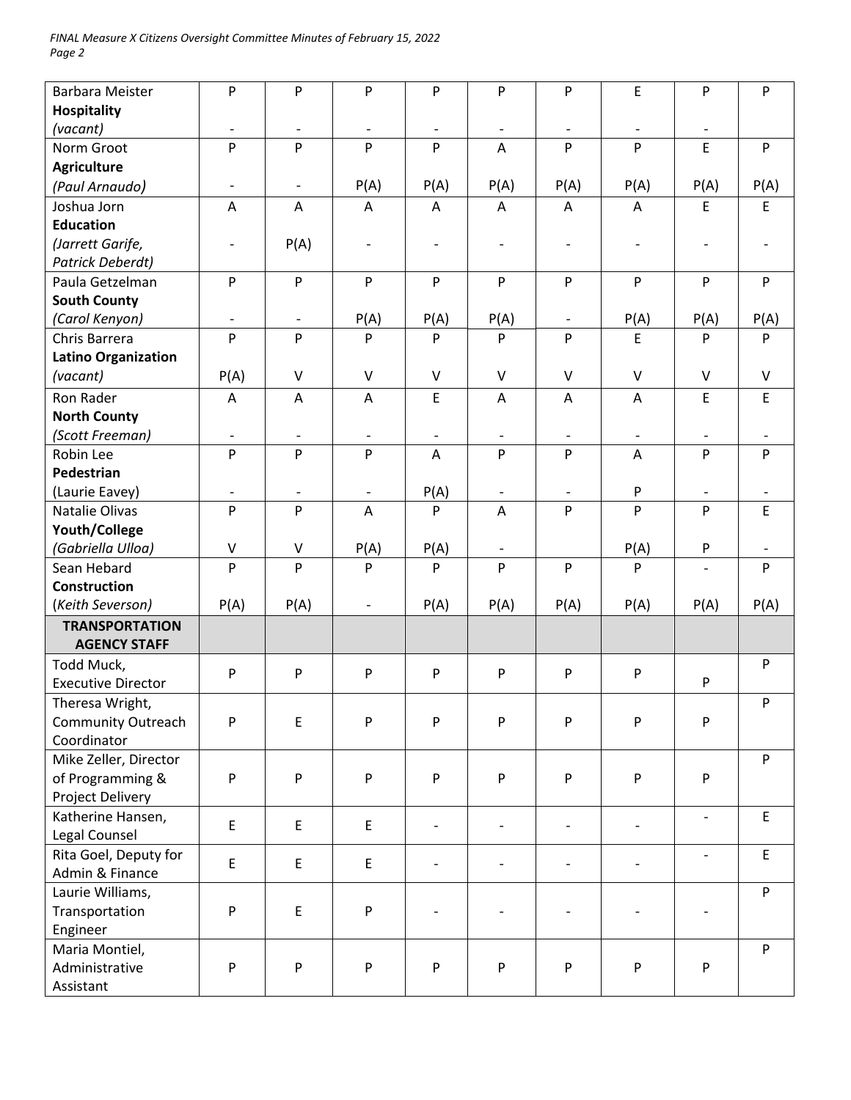| <b>Barbara Meister</b>     | ${\sf P}$                    | P                        | P                        | P                        | P                        | ${\sf P}$                | E                         | P                        | P            |
|----------------------------|------------------------------|--------------------------|--------------------------|--------------------------|--------------------------|--------------------------|---------------------------|--------------------------|--------------|
| <b>Hospitality</b>         |                              |                          |                          |                          |                          |                          |                           |                          |              |
| (vacant)                   | $\overline{\phantom{a}}$     | $\overline{\phantom{a}}$ | $\overline{\phantom{a}}$ | $\overline{\phantom{a}}$ | $\overline{\phantom{a}}$ | $\overline{\phantom{a}}$ | $\overline{\phantom{a}}$  | $\overline{\phantom{a}}$ |              |
| Norm Groot                 | ${\sf P}$                    | P                        | P                        | P                        | A                        | P                        | P                         | E                        | P            |
| <b>Agriculture</b>         |                              |                          |                          |                          |                          |                          |                           |                          |              |
| (Paul Arnaudo)             | $\qquad \qquad \blacksquare$ | $\overline{\phantom{a}}$ | P(A)                     | P(A)                     | P(A)                     | P(A)                     | P(A)                      | P(A)                     | P(A)         |
| Joshua Jorn                | A                            | A                        | A                        | Α                        | A                        | A                        | A                         | E                        | E            |
| <b>Education</b>           |                              |                          |                          |                          |                          |                          |                           |                          |              |
| (Jarrett Garife,           | $\qquad \qquad \blacksquare$ | P(A)                     | $\overline{\phantom{a}}$ | $\overline{\phantom{a}}$ | $\overline{\phantom{0}}$ | $\overline{\phantom{a}}$ | $\overline{a}$            |                          |              |
| Patrick Deberdt)           |                              |                          |                          |                          |                          |                          |                           |                          |              |
| Paula Getzelman            | P                            | ${\sf P}$                | P                        | ${\sf P}$                | P                        | P                        | ${\sf P}$                 | P                        | ${\sf P}$    |
| <b>South County</b>        |                              |                          |                          |                          |                          |                          |                           |                          |              |
| (Carol Kenyon)             | $\qquad \qquad \blacksquare$ | $\overline{\phantom{a}}$ | P(A)                     | P(A)                     | P(A)                     | $\overline{\phantom{a}}$ | P(A)                      | P(A)                     | P(A)         |
| Chris Barrera              | $\mathsf{P}$                 | P                        | P                        | P                        | P                        | P                        | E                         | P                        | P            |
| <b>Latino Organization</b> |                              |                          |                          |                          |                          |                          |                           |                          |              |
| (vacant)                   | P(A)                         | $\mathsf{V}$             | $\vee$                   | $\vee$                   | $\vee$                   | $\sf V$                  | $\vee$                    | $\vee$                   | $\mathsf{V}$ |
| Ron Rader                  | A                            | A                        | A                        | E                        | A                        | Α                        | A                         | E                        | $\mathsf E$  |
| <b>North County</b>        |                              |                          |                          |                          |                          |                          |                           |                          |              |
| (Scott Freeman)            | $\qquad \qquad \blacksquare$ |                          | $\overline{\phantom{a}}$ |                          |                          |                          | $\overline{\phantom{a}}$  |                          |              |
| Robin Lee                  | ${\sf P}$                    | P                        | P                        | $\overline{\mathsf{A}}$  | P                        | P                        | A                         | P                        | P            |
| Pedestrian                 |                              |                          |                          |                          |                          |                          |                           |                          |              |
| (Laurie Eavey)             |                              | $\overline{\phantom{a}}$ | $\overline{\phantom{a}}$ | P(A)                     | $\overline{\phantom{a}}$ | $\overline{\phantom{a}}$ | P                         | $\overline{\phantom{a}}$ |              |
| Natalie Olivas             | P                            | P                        | Α                        | P                        | A                        | P                        | P                         | P                        | $\mathsf E$  |
| Youth/College              |                              |                          |                          |                          |                          |                          |                           |                          |              |
| (Gabriella Ulloa)          | V                            | V                        | P(A)                     | P(A)                     | $\overline{\phantom{a}}$ |                          | P(A)                      | P                        |              |
| Sean Hebard                | P                            | $\overline{P}$           | P                        | $\mathsf{P}$             | P                        | P                        | P                         | $\overline{\phantom{0}}$ | P            |
| Construction               |                              |                          |                          |                          |                          |                          |                           |                          |              |
| (Keith Severson)           | P(A)                         | P(A)                     | $\overline{\phantom{a}}$ | P(A)                     | P(A)                     | P(A)                     | P(A)                      | P(A)                     | P(A)         |
| <b>TRANSPORTATION</b>      |                              |                          |                          |                          |                          |                          |                           |                          |              |
| <b>AGENCY STAFF</b>        |                              |                          |                          |                          |                          |                          |                           |                          |              |
| Todd Muck,                 | ${\sf P}$                    | P                        | P                        | ${\sf P}$                | ${\sf P}$                | P                        | $\boldsymbol{\mathsf{P}}$ |                          | P            |
| <b>Executive Director</b>  |                              |                          |                          |                          |                          |                          |                           | P                        |              |
| Theresa Wright,            |                              |                          |                          |                          |                          |                          |                           |                          | P            |
| <b>Community Outreach</b>  | P                            | $\mathsf E$              | P                        | P                        | P                        | P                        | P                         | P                        |              |
| Coordinator                |                              |                          |                          |                          |                          |                          |                           |                          |              |
| Mike Zeller, Director      |                              |                          |                          |                          |                          |                          |                           |                          | ${\sf P}$    |
| of Programming &           | P                            | P                        | P                        | P                        | P                        | P                        | $\mathsf{P}$              | P                        |              |
| Project Delivery           |                              |                          |                          |                          |                          |                          |                           |                          |              |
| Katherine Hansen,          | E                            | E                        | $\mathsf E$              |                          | $\overline{\phantom{0}}$ |                          | $\overline{\phantom{a}}$  | $\overline{\phantom{a}}$ | $\mathsf E$  |
| Legal Counsel              |                              |                          |                          |                          |                          |                          |                           |                          |              |
| Rita Goel, Deputy for      | E                            | E                        | E                        |                          | $\overline{\phantom{0}}$ |                          |                           |                          | $\mathsf E$  |
| Admin & Finance            |                              |                          |                          |                          |                          |                          |                           |                          |              |
| Laurie Williams,           |                              |                          |                          |                          |                          |                          |                           |                          | P            |
| Transportation             | P                            | E                        | ${\sf P}$                |                          |                          |                          |                           |                          |              |
| Engineer                   |                              |                          |                          |                          |                          |                          |                           |                          |              |
| Maria Montiel,             |                              |                          |                          |                          |                          |                          |                           |                          | P            |
| Administrative             | ${\sf P}$                    | P                        | P                        | P                        | P                        | P                        | ${\sf P}$                 | P                        |              |
| Assistant                  |                              |                          |                          |                          |                          |                          |                           |                          |              |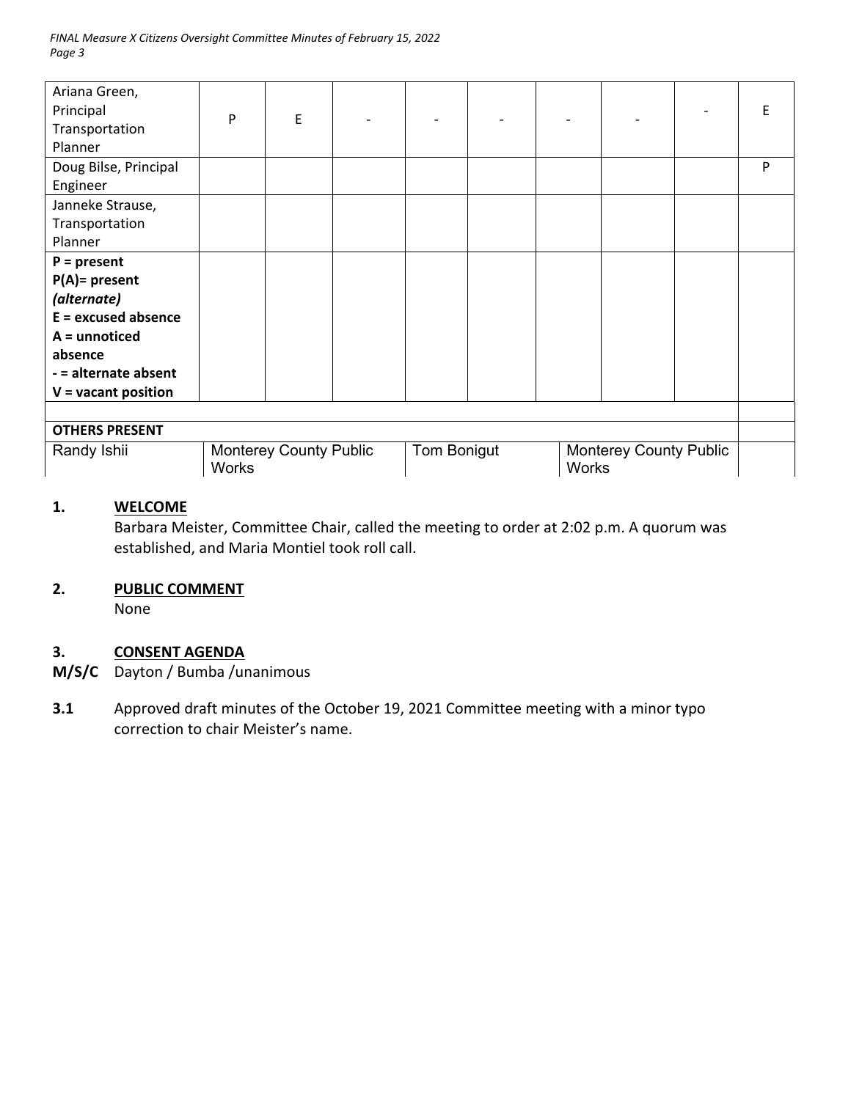| Ariana Green,<br>Principal<br>Transportation | P                                             | E |             |  |  |                                               |  |  | E |
|----------------------------------------------|-----------------------------------------------|---|-------------|--|--|-----------------------------------------------|--|--|---|
| Planner                                      |                                               |   |             |  |  |                                               |  |  |   |
| Doug Bilse, Principal                        |                                               |   |             |  |  |                                               |  |  | P |
| Engineer                                     |                                               |   |             |  |  |                                               |  |  |   |
| Janneke Strause,                             |                                               |   |             |  |  |                                               |  |  |   |
| Transportation                               |                                               |   |             |  |  |                                               |  |  |   |
| Planner                                      |                                               |   |             |  |  |                                               |  |  |   |
| $P = present$                                |                                               |   |             |  |  |                                               |  |  |   |
| $P(A)$ = present                             |                                               |   |             |  |  |                                               |  |  |   |
| (alternate)                                  |                                               |   |             |  |  |                                               |  |  |   |
| $E =$ excused absence                        |                                               |   |             |  |  |                                               |  |  |   |
| $A =$ unnoticed                              |                                               |   |             |  |  |                                               |  |  |   |
| absence                                      |                                               |   |             |  |  |                                               |  |  |   |
| - = alternate absent                         |                                               |   |             |  |  |                                               |  |  |   |
| $V =$ vacant position                        |                                               |   |             |  |  |                                               |  |  |   |
|                                              |                                               |   |             |  |  |                                               |  |  |   |
| <b>OTHERS PRESENT</b>                        |                                               |   |             |  |  |                                               |  |  |   |
| Randy Ishii                                  | <b>Monterey County Public</b><br><b>Works</b> |   | Tom Bonigut |  |  | <b>Monterey County Public</b><br><b>Works</b> |  |  |   |

## **1. WELCOME**

Barbara Meister, Committee Chair, called the meeting to order at 2:02 p.m. A quorum was established, and Maria Montiel took roll call.

#### **2. PUBLIC COMMENT**

None

# **3. CONSENT AGENDA**

- **M/S/C**  Dayton / Bumba /unanimous
- **3.1**  Approved draft minutes of the October 19, 2021 Committee meeting with a minor typo correction to chair Meister's name.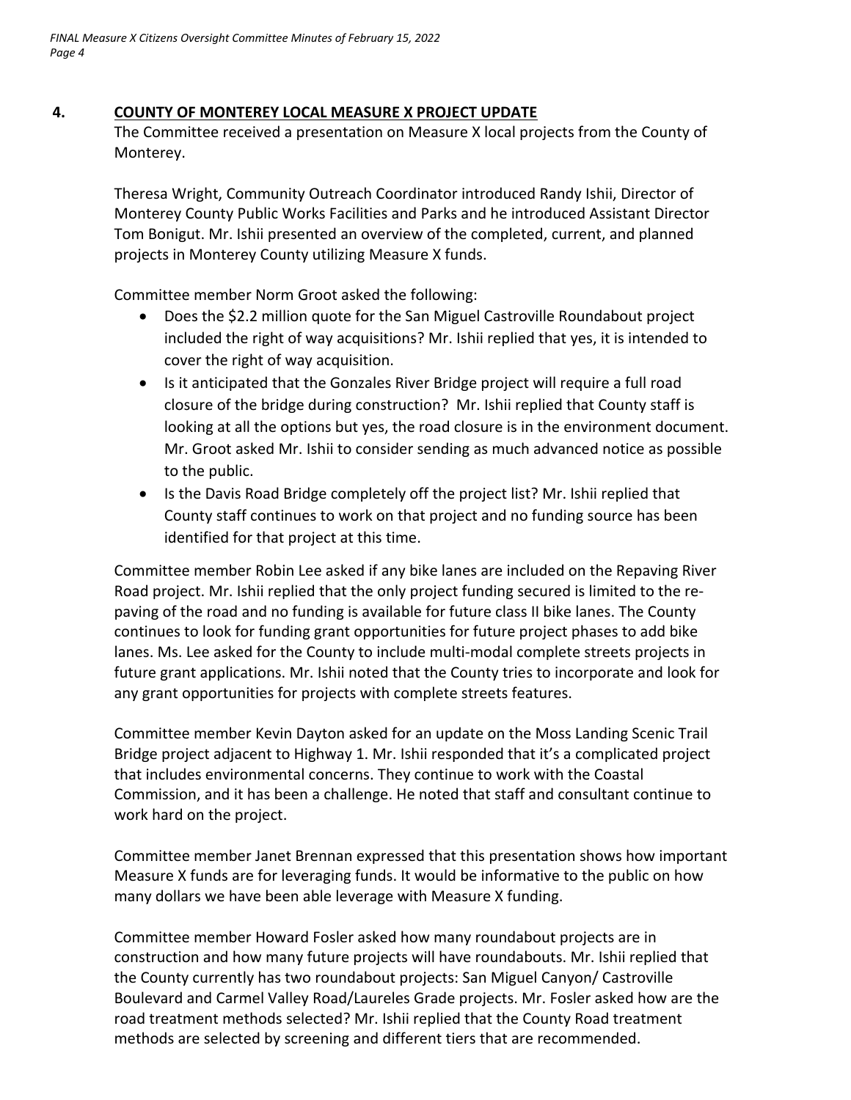## **4. COUNTY OF MONTEREY LOCAL MEASURE X PROJECT UPDATE**

The Committee received a presentation on Measure X local projects from the County of Monterey.

Theresa Wright, Community Outreach Coordinator introduced Randy Ishii, Director of Monterey County Public Works Facilities and Parks and he introduced Assistant Director Tom Bonigut. Mr. Ishii presented an overview of the completed, current, and planned projects in Monterey County utilizing Measure X funds.

Committee member Norm Groot asked the following:

- Does the \$2.2 million quote for the San Miguel Castroville Roundabout project included the right of way acquisitions? Mr. Ishii replied that yes, it is intended to cover the right of way acquisition.
- Is it anticipated that the Gonzales River Bridge project will require a full road closure of the bridge during construction? Mr. Ishii replied that County staff is looking at all the options but yes, the road closure is in the environment document. Mr. Groot asked Mr. Ishii to consider sending as much advanced notice as possible to the public.
- Is the Davis Road Bridge completely off the project list? Mr. Ishii replied that County staff continues to work on that project and no funding source has been identified for that project at this time.

Committee member Robin Lee asked if any bike lanes are included on the Repaving River Road project. Mr. Ishii replied that the only project funding secured is limited to the re‐ paving of the road and no funding is available for future class II bike lanes. The County continues to look for funding grant opportunities for future project phases to add bike lanes. Ms. Lee asked for the County to include multi‐modal complete streets projects in future grant applications. Mr. Ishii noted that the County tries to incorporate and look for any grant opportunities for projects with complete streets features.

Committee member Kevin Dayton asked for an update on the Moss Landing Scenic Trail Bridge project adjacent to Highway 1. Mr. Ishii responded that it's a complicated project that includes environmental concerns. They continue to work with the Coastal Commission, and it has been a challenge. He noted that staff and consultant continue to work hard on the project.

Committee member Janet Brennan expressed that this presentation shows how important Measure X funds are for leveraging funds. It would be informative to the public on how many dollars we have been able leverage with Measure X funding.

Committee member Howard Fosler asked how many roundabout projects are in construction and how many future projects will have roundabouts. Mr. Ishii replied that the County currently has two roundabout projects: San Miguel Canyon/ Castroville Boulevard and Carmel Valley Road/Laureles Grade projects. Mr. Fosler asked how are the road treatment methods selected? Mr. Ishii replied that the County Road treatment methods are selected by screening and different tiers that are recommended.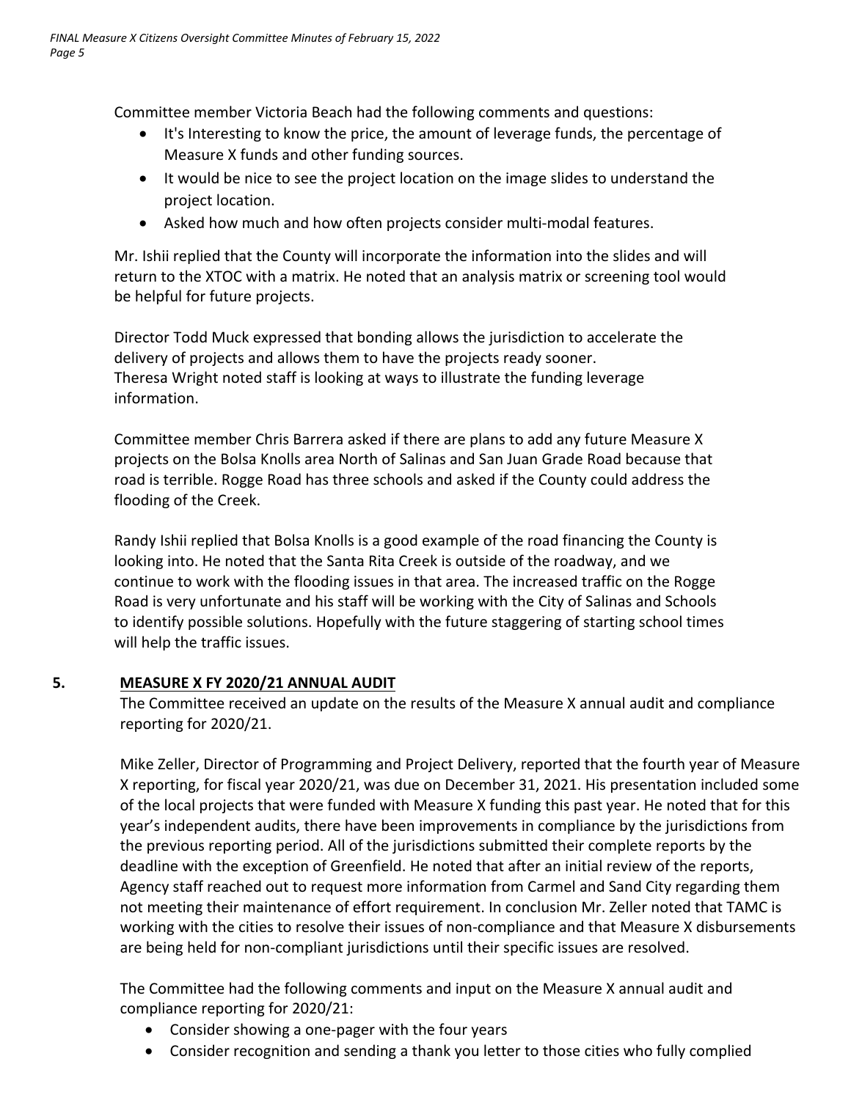Committee member Victoria Beach had the following comments and questions:

- It's Interesting to know the price, the amount of leverage funds, the percentage of Measure X funds and other funding sources.
- It would be nice to see the project location on the image slides to understand the project location.
- Asked how much and how often projects consider multi-modal features.

Mr. Ishii replied that the County will incorporate the information into the slides and will return to the XTOC with a matrix. He noted that an analysis matrix or screening tool would be helpful for future projects.

Director Todd Muck expressed that bonding allows the jurisdiction to accelerate the delivery of projects and allows them to have the projects ready sooner. Theresa Wright noted staff is looking at ways to illustrate the funding leverage information.

Committee member Chris Barrera asked if there are plans to add any future Measure X projects on the Bolsa Knolls area North of Salinas and San Juan Grade Road because that road is terrible. Rogge Road has three schools and asked if the County could address the flooding of the Creek.

Randy Ishii replied that Bolsa Knolls is a good example of the road financing the County is looking into. He noted that the Santa Rita Creek is outside of the roadway, and we continue to work with the flooding issues in that area. The increased traffic on the Rogge Road is very unfortunate and his staff will be working with the City of Salinas and Schools to identify possible solutions. Hopefully with the future staggering of starting school times will help the traffic issues.

# **5. MEASURE X FY 2020/21 ANNUAL AUDIT**

The Committee received an update on the results of the Measure X annual audit and compliance reporting for 2020/21.

Mike Zeller, Director of Programming and Project Delivery, reported that the fourth year of Measure X reporting, for fiscal year 2020/21, was due on December 31, 2021. His presentation included some of the local projects that were funded with Measure X funding this past year. He noted that for this year's independent audits, there have been improvements in compliance by the jurisdictions from the previous reporting period. All of the jurisdictions submitted their complete reports by the deadline with the exception of Greenfield. He noted that after an initial review of the reports, Agency staff reached out to request more information from Carmel and Sand City regarding them not meeting their maintenance of effort requirement. In conclusion Mr. Zeller noted that TAMC is working with the cities to resolve their issues of non-compliance and that Measure X disbursements are being held for non‐compliant jurisdictions until their specific issues are resolved.

The Committee had the following comments and input on the Measure X annual audit and compliance reporting for 2020/21:

- Consider showing a one-pager with the four years
- Consider recognition and sending a thank you letter to those cities who fully complied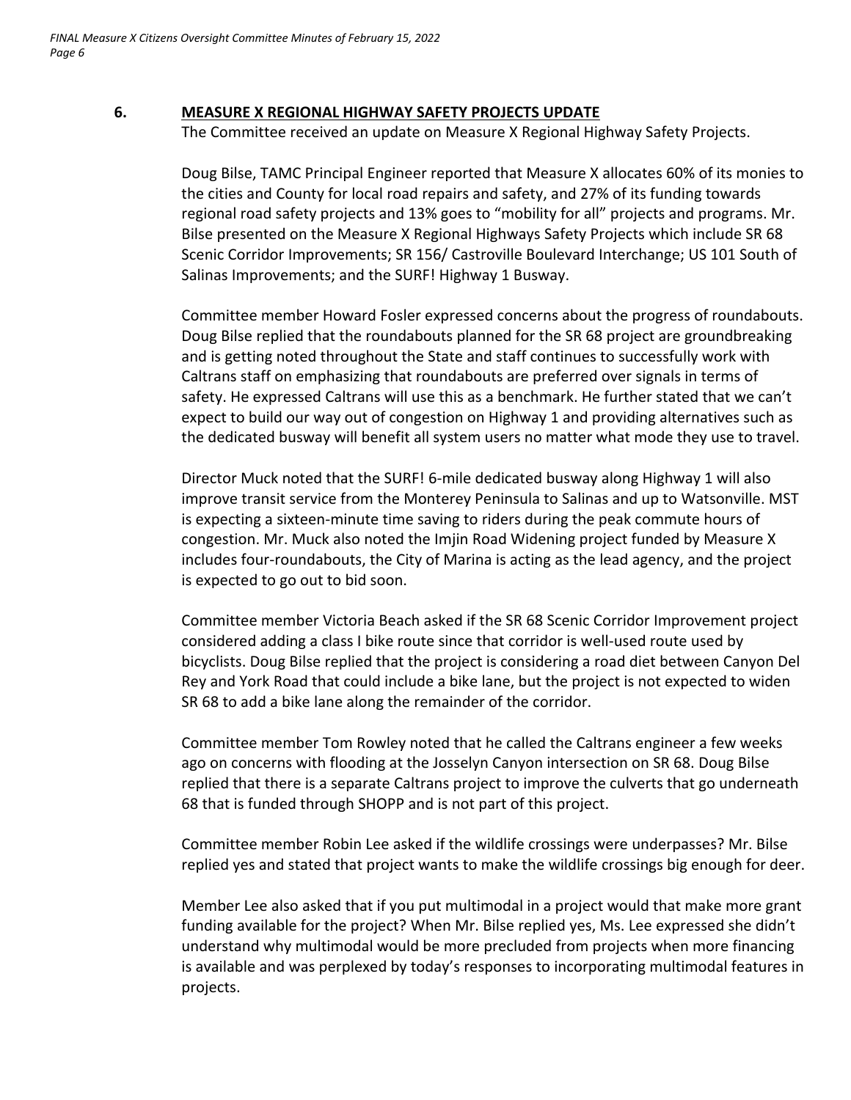## **6. MEASURE X REGIONAL HIGHWAY SAFETY PROJECTS UPDATE**

The Committee received an update on Measure X Regional Highway Safety Projects.

Doug Bilse, TAMC Principal Engineer reported that Measure X allocates 60% of its monies to the cities and County for local road repairs and safety, and 27% of its funding towards regional road safety projects and 13% goes to "mobility for all" projects and programs. Mr. Bilse presented on the Measure X Regional Highways Safety Projects which include SR 68 Scenic Corridor Improvements; SR 156/ Castroville Boulevard Interchange; US 101 South of Salinas Improvements; and the SURF! Highway 1 Busway.

Committee member Howard Fosler expressed concerns about the progress of roundabouts. Doug Bilse replied that the roundabouts planned for the SR 68 project are groundbreaking and is getting noted throughout the State and staff continues to successfully work with Caltrans staff on emphasizing that roundabouts are preferred over signals in terms of safety. He expressed Caltrans will use this as a benchmark. He further stated that we can't expect to build our way out of congestion on Highway 1 and providing alternatives such as the dedicated busway will benefit all system users no matter what mode they use to travel.

Director Muck noted that the SURF! 6‐mile dedicated busway along Highway 1 will also improve transit service from the Monterey Peninsula to Salinas and up to Watsonville. MST is expecting a sixteen‐minute time saving to riders during the peak commute hours of congestion. Mr. Muck also noted the Imjin Road Widening project funded by Measure X includes four‐roundabouts, the City of Marina is acting as the lead agency, and the project is expected to go out to bid soon.

Committee member Victoria Beach asked if the SR 68 Scenic Corridor Improvement project considered adding a class I bike route since that corridor is well‐used route used by bicyclists. Doug Bilse replied that the project is considering a road diet between Canyon Del Rey and York Road that could include a bike lane, but the project is not expected to widen SR 68 to add a bike lane along the remainder of the corridor.

Committee member Tom Rowley noted that he called the Caltrans engineer a few weeks ago on concerns with flooding at the Josselyn Canyon intersection on SR 68. Doug Bilse replied that there is a separate Caltrans project to improve the culverts that go underneath 68 that is funded through SHOPP and is not part of this project.

Committee member Robin Lee asked if the wildlife crossings were underpasses? Mr. Bilse replied yes and stated that project wants to make the wildlife crossings big enough for deer.

Member Lee also asked that if you put multimodal in a project would that make more grant funding available for the project? When Mr. Bilse replied yes, Ms. Lee expressed she didn't understand why multimodal would be more precluded from projects when more financing is available and was perplexed by today's responses to incorporating multimodal features in projects.